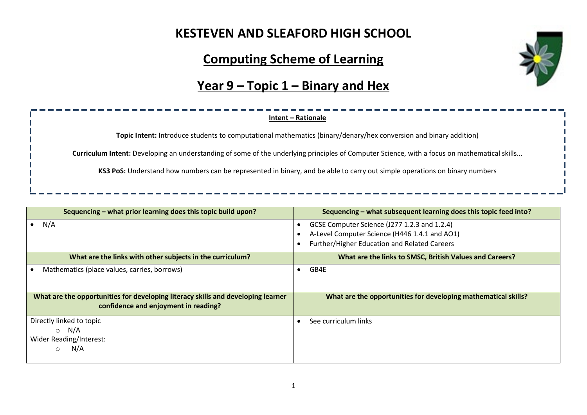#### **KESTEVEN AND SLEAFORD HIGH SCHOOL**

### **Computing Scheme of Learning**

# **Year 9 – Topic 1 – Binary and Hex**

#### **Intent – Rationale**

**Topic Intent:** Introduce students to computational mathematics (binary/denary/hex conversion and binary addition)

**Curriculum Intent:** Developing an understanding of some of the underlying principles of Computer Science, with a focus on mathematical skills...

**KS3 PoS:** Understand how numbers can be represented in binary, and be able to carry out simple operations on binary numbers

| Sequencing – what prior learning does this topic build upon?                                                             | Sequencing – what subsequent learning does this topic feed into?                                                                              |  |
|--------------------------------------------------------------------------------------------------------------------------|-----------------------------------------------------------------------------------------------------------------------------------------------|--|
| N/A                                                                                                                      | GCSE Computer Science (J277 1.2.3 and 1.2.4)<br>A-Level Computer Science (H446 1.4.1 and AO1)<br>Further/Higher Education and Related Careers |  |
| What are the links with other subjects in the curriculum?                                                                | What are the links to SMSC, British Values and Careers?                                                                                       |  |
| Mathematics (place values, carries, borrows)                                                                             | GB4E<br>$\bullet$                                                                                                                             |  |
| What are the opportunities for developing literacy skills and developing learner<br>confidence and enjoyment in reading? | What are the opportunities for developing mathematical skills?                                                                                |  |
| Directly linked to topic<br>$\circ$ N/A<br>Wider Reading/Interest:<br>N/A                                                | See curriculum links                                                                                                                          |  |

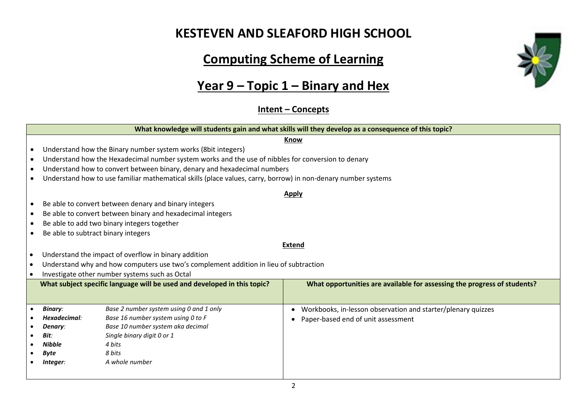# **KESTEVEN AND SLEAFORD HIGH SCHOOL**

# **Computing Scheme of Learning**

# **Year 9 – Topic 1 – Binary and Hex**

**Intent – Concepts**